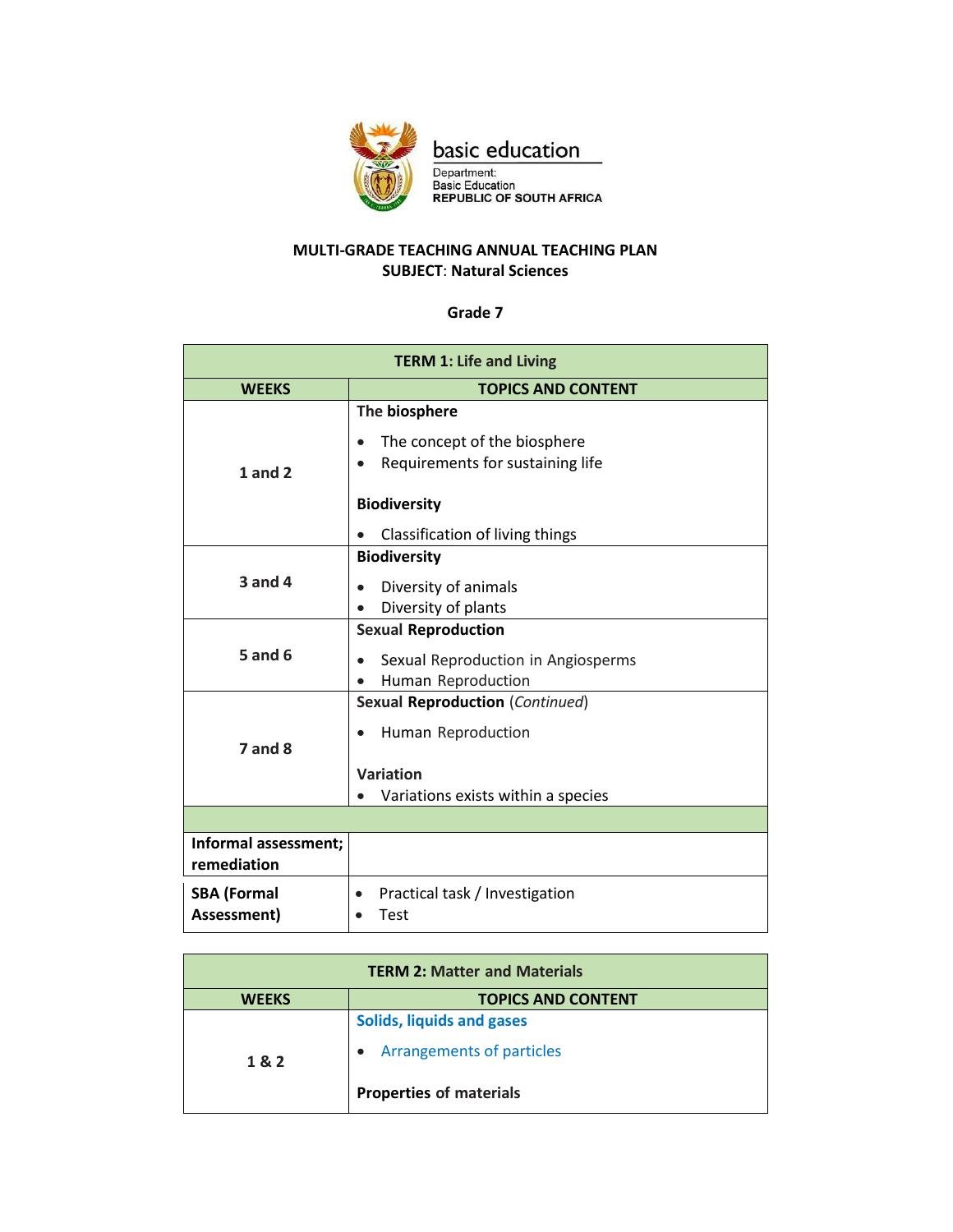

## **MULTI-GRADE TEACHING ANNUAL TEACHING PLAN SUBJECT**: **Natural Sciences**

## **Grade 7**

| <b>TERM 1: Life and Living</b>      |                                                                                   |  |
|-------------------------------------|-----------------------------------------------------------------------------------|--|
| <b>WEEKS</b>                        | <b>TOPICS AND CONTENT</b>                                                         |  |
| $1$ and $2$                         | The biosphere<br>The concept of the biosphere<br>Requirements for sustaining life |  |
|                                     | <b>Biodiversity</b>                                                               |  |
|                                     | Classification of living things                                                   |  |
|                                     | <b>Biodiversity</b>                                                               |  |
| $3$ and $4$                         | Diversity of animals<br>$\bullet$                                                 |  |
|                                     | Diversity of plants                                                               |  |
|                                     | <b>Sexual Reproduction</b>                                                        |  |
| $5$ and $6$                         | Sexual Reproduction in Angiosperms<br>$\bullet$                                   |  |
|                                     | Human Reproduction                                                                |  |
|                                     | <b>Sexual Reproduction (Continued)</b>                                            |  |
|                                     | Human Reproduction                                                                |  |
| $7$ and $8$                         |                                                                                   |  |
|                                     | Variation                                                                         |  |
|                                     | Variations exists within a species                                                |  |
|                                     |                                                                                   |  |
| Informal assessment;<br>remediation |                                                                                   |  |
| <b>SBA (Formal</b><br>Assessment)   | Practical task / Investigation<br>$\bullet$<br><b>Test</b>                        |  |

| <b>TERM 2: Matter and Materials</b>       |                                                                      |  |  |
|-------------------------------------------|----------------------------------------------------------------------|--|--|
| <b>WEEKS</b><br><b>TOPICS AND CONTENT</b> |                                                                      |  |  |
| 1&2                                       | <b>Solids, liquids and gases</b><br><b>Arrangements of particles</b> |  |  |
|                                           | <b>Properties of materials</b>                                       |  |  |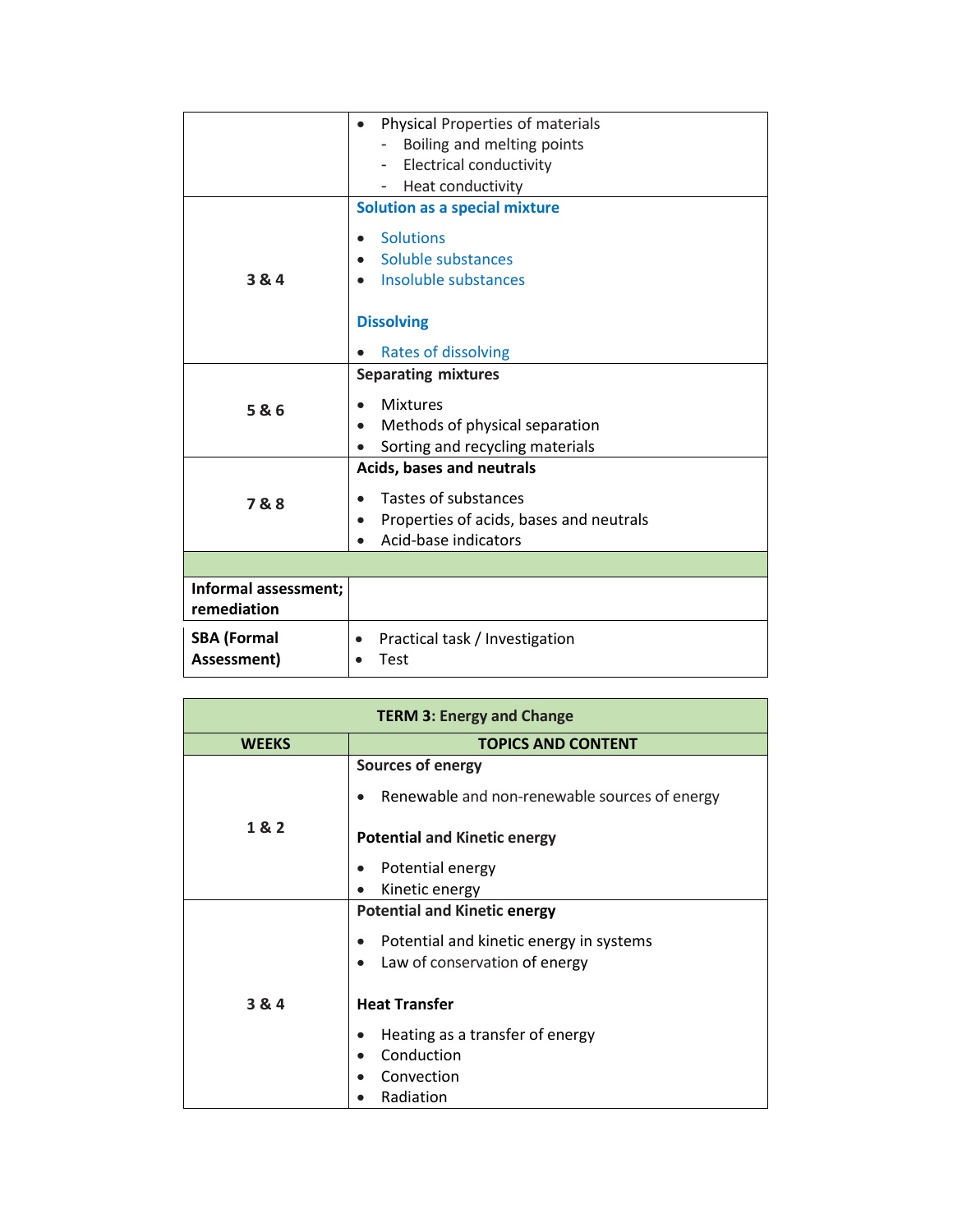|                                     | Physical Properties of materials<br>$\bullet$        |
|-------------------------------------|------------------------------------------------------|
|                                     | Boiling and melting points                           |
|                                     | <b>Electrical conductivity</b>                       |
|                                     | Heat conductivity                                    |
|                                     | <b>Solution as a special mixture</b>                 |
|                                     | <b>Solutions</b><br>$\bullet$                        |
|                                     | Soluble substances<br>$\bullet$                      |
| 3 & 4                               | Insoluble substances                                 |
|                                     | <b>Dissolving</b>                                    |
|                                     | Rates of dissolving                                  |
|                                     | <b>Separating mixtures</b>                           |
|                                     | <b>Mixtures</b>                                      |
| 5 & 6                               | Methods of physical separation<br>$\bullet$          |
|                                     | Sorting and recycling materials                      |
|                                     | Acids, bases and neutrals                            |
|                                     |                                                      |
| 7&8                                 | Tastes of substances<br>$\bullet$                    |
|                                     | Properties of acids, bases and neutrals<br>$\bullet$ |
|                                     | Acid-base indicators                                 |
|                                     |                                                      |
| Informal assessment;<br>remediation |                                                      |
| <b>SBA (Formal</b>                  | Practical task / Investigation<br>$\bullet$          |
| Assessment)                         | Test<br>$\bullet$                                    |

| <b>TERM 3: Energy and Change</b> |                                               |  |  |
|----------------------------------|-----------------------------------------------|--|--|
| <b>WEEKS</b>                     | <b>TOPICS AND CONTENT</b>                     |  |  |
| 1& 2                             | Sources of energy                             |  |  |
|                                  | Renewable and non-renewable sources of energy |  |  |
|                                  | <b>Potential and Kinetic energy</b>           |  |  |
|                                  | Potential energy                              |  |  |
|                                  | Kinetic energy                                |  |  |
|                                  | <b>Potential and Kinetic energy</b>           |  |  |
|                                  | Potential and kinetic energy in systems       |  |  |
|                                  | Law of conservation of energy<br>$\bullet$    |  |  |
| 3 & 4                            | <b>Heat Transfer</b>                          |  |  |
|                                  | Heating as a transfer of energy               |  |  |
|                                  | Conduction                                    |  |  |
|                                  | Convection                                    |  |  |
|                                  | Radiation                                     |  |  |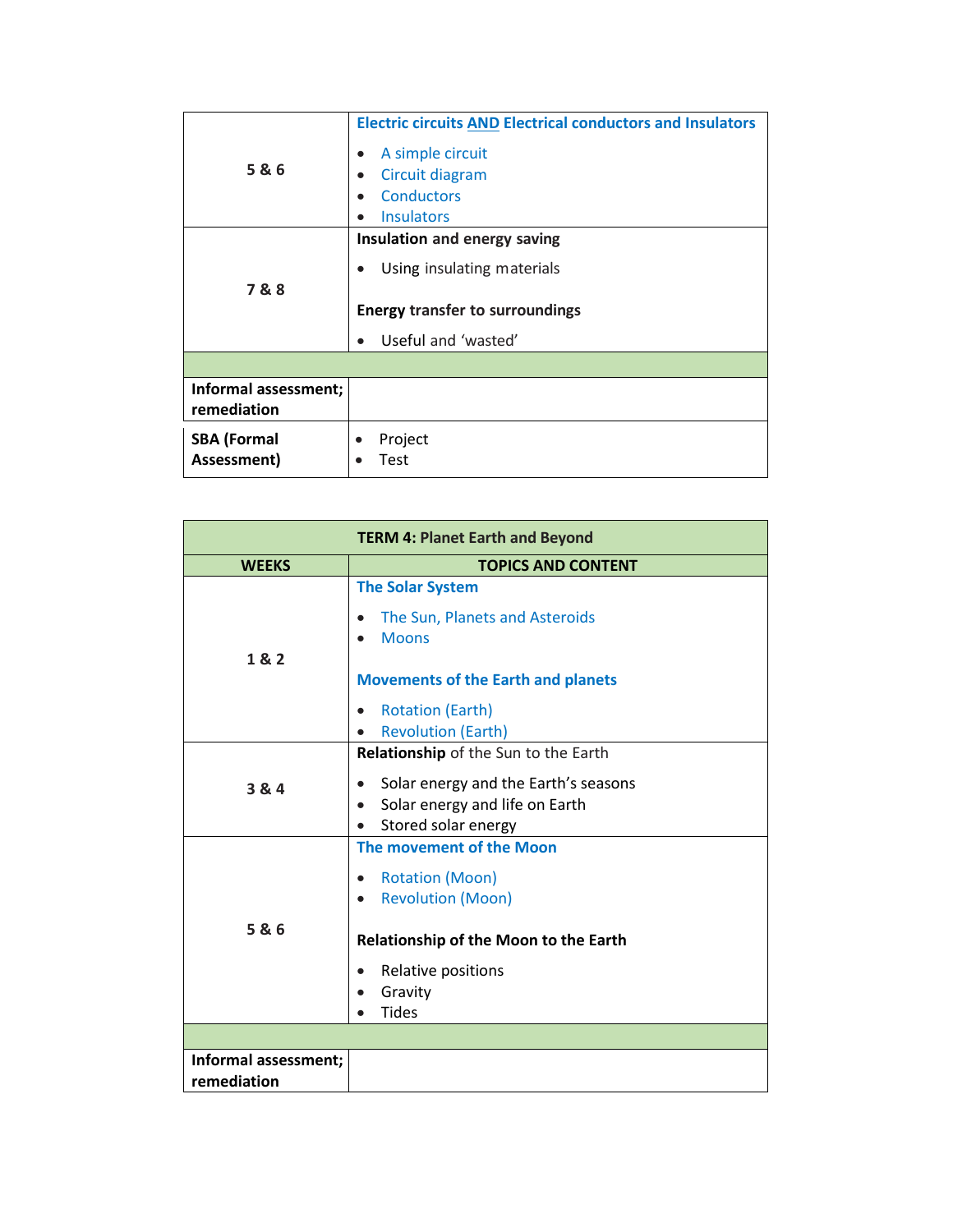|                      | <b>Electric circuits AND Electrical conductors and Insulators</b> |
|----------------------|-------------------------------------------------------------------|
| 5 & 6                | A simple circuit<br>$\bullet$                                     |
|                      | Circuit diagram                                                   |
|                      | <b>Conductors</b><br>$\bullet$                                    |
|                      | <b>Insulators</b>                                                 |
|                      | Insulation and energy saving                                      |
|                      | Using insulating materials<br>$\bullet$                           |
| 7&8                  |                                                                   |
|                      | <b>Energy transfer to surroundings</b>                            |
|                      | Useful and 'wasted'                                               |
|                      |                                                                   |
| Informal assessment; |                                                                   |
|                      |                                                                   |
| remediation          |                                                                   |
| <b>SBA (Formal</b>   | Project                                                           |

| <b>TERM 4: Planet Earth and Beyond</b> |                                                   |  |  |  |  |
|----------------------------------------|---------------------------------------------------|--|--|--|--|
| <b>WEEKS</b>                           | <b>TOPICS AND CONTENT</b>                         |  |  |  |  |
| 1 & 2                                  | <b>The Solar System</b>                           |  |  |  |  |
|                                        | The Sun, Planets and Asteroids                    |  |  |  |  |
|                                        | <b>Moons</b>                                      |  |  |  |  |
|                                        | <b>Movements of the Earth and planets</b>         |  |  |  |  |
|                                        | <b>Rotation (Earth)</b><br>$\bullet$              |  |  |  |  |
|                                        | <b>Revolution (Earth)</b>                         |  |  |  |  |
| 3 & 4                                  | Relationship of the Sun to the Earth              |  |  |  |  |
|                                        | Solar energy and the Earth's seasons<br>$\bullet$ |  |  |  |  |
|                                        | Solar energy and life on Earth                    |  |  |  |  |
|                                        | Stored solar energy                               |  |  |  |  |
|                                        | The movement of the Moon                          |  |  |  |  |
|                                        | <b>Rotation (Moon)</b><br>$\bullet$               |  |  |  |  |
| 5 & 6                                  | <b>Revolution (Moon)</b><br>$\bullet$             |  |  |  |  |
|                                        | <b>Relationship of the Moon to the Earth</b>      |  |  |  |  |
|                                        | Relative positions                                |  |  |  |  |
|                                        | Gravity<br>$\bullet$                              |  |  |  |  |
|                                        | <b>Tides</b>                                      |  |  |  |  |
|                                        |                                                   |  |  |  |  |
| Informal assessment;                   |                                                   |  |  |  |  |
| remediation                            |                                                   |  |  |  |  |